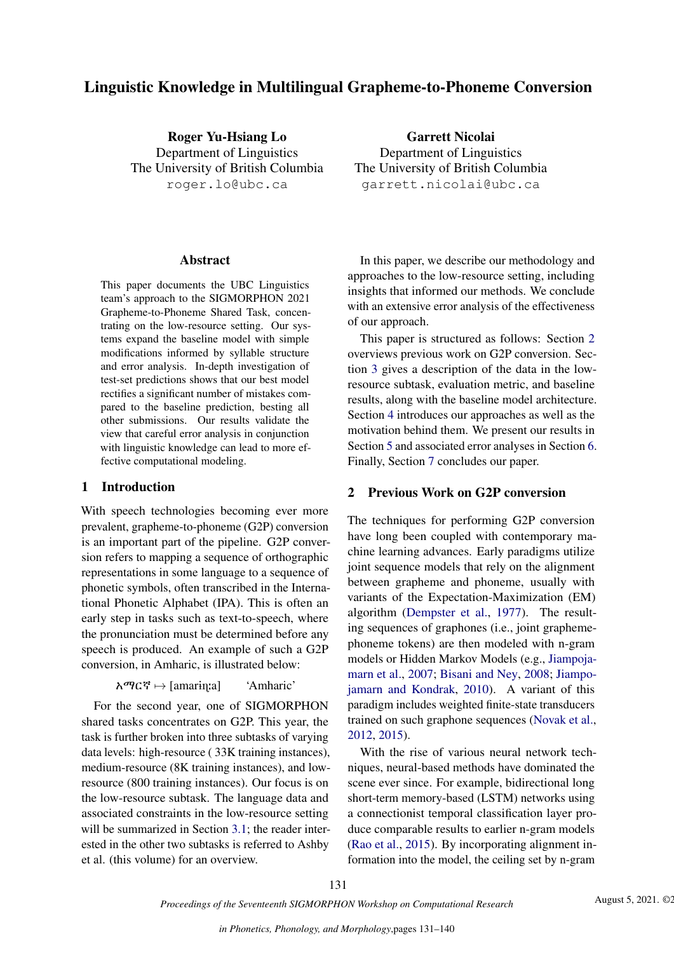# Linguistic Knowledge in Multilingual Grapheme-to-Phoneme Conversion

Roger Yu-Hsiang Lo Department of Linguistics The University of British Columbia roger.lo@ubc.ca

#### Abstract

This paper documents the UBC Linguistics team's approach to the SIGMORPHON 2021 Grapheme-to-Phoneme Shared Task, concentrating on the low-resource setting. Our systems expand the baseline model with simple modifications informed by syllable structure and error analysis. In-depth investigation of test-set predictions shows that our best model rectifies a significant number of mistakes compared to the baseline prediction, besting all other submissions. Our results validate the view that careful error analysis in conjunction with linguistic knowledge can lead to more effective computational modeling.

### 1 Introduction

With speech technologies becoming ever more prevalent, grapheme-to-phoneme (G2P) conversion is an important part of the pipeline. G2P conversion refers to mapping a sequence of orthographic representations in some language to a sequence of phonetic symbols, often transcribed in the International Phonetic Alphabet (IPA). This is often an early step in tasks such as text-to-speech, where the pronunciation must be determined before any speech is produced. An example of such a G2P conversion, in Amharic, is illustrated below:

 $\lambda \mathcal{P} C \mathcal{F} \mapsto$  [amarina] 'Amharic'

For the second year, one of SIGMORPHON shared tasks concentrates on G2P. This year, the task is further broken into three subtasks of varying data levels: high-resource ( 33K training instances), medium-resource (8K training instances), and lowresource (800 training instances). Our focus is on the low-resource subtask. The language data and associated constraints in the low-resource setting will be summarized in Section [3.1;](#page-1-0) the reader interested in the other two subtasks is referred to Ashby et al. (this volume) for an overview.

Garrett Nicolai Department of Linguistics The University of British Columbia garrett.nicolai@ubc.ca

In this paper, we describe our methodology and approaches to the low-resource setting, including insights that informed our methods. We conclude with an extensive error analysis of the effectiveness of our approach.

This paper is structured as follows: Section [2](#page-0-0) overviews previous work on G2P conversion. Section [3](#page-1-1) gives a description of the data in the lowresource subtask, evaluation metric, and baseline results, along with the baseline model architecture. Section [4](#page-2-0) introduces our approaches as well as the motivation behind them. We present our results in Section [5](#page-4-0) and associated error analyses in Section [6.](#page-5-0) Finally, Section [7](#page-6-0) concludes our paper.

## <span id="page-0-0"></span>2 Previous Work on G2P conversion

The techniques for performing G2P conversion have long been coupled with contemporary machine learning advances. Early paradigms utilize joint sequence models that rely on the alignment between grapheme and phoneme, usually with variants of the Expectation-Maximization (EM) algorithm [\(Dempster et al.,](#page-8-0) [1977\)](#page-8-0). The resulting sequences of graphones (i.e., joint graphemephoneme tokens) are then modeled with n-gram models or Hidden Markov Models (e.g., [Jiampoja](#page-8-1)[marn et al.,](#page-8-1) [2007;](#page-8-1) [Bisani and Ney,](#page-8-2) [2008;](#page-8-2) [Jiampo](#page-8-3)[jamarn and Kondrak,](#page-8-3) [2010\)](#page-8-3). A variant of this paradigm includes weighted finite-state transducers trained on such graphone sequences [\(Novak et al.,](#page-8-4) [2012,](#page-8-4) [2015\)](#page-8-5).

With the rise of various neural network techniques, neural-based methods have dominated the scene ever since. For example, bidirectional long short-term memory-based (LSTM) networks using a connectionist temporal classification layer produce comparable results to earlier n-gram models [\(Rao et al.,](#page-8-6) [2015\)](#page-8-6). By incorporating alignment information into the model, the ceiling set by n-gram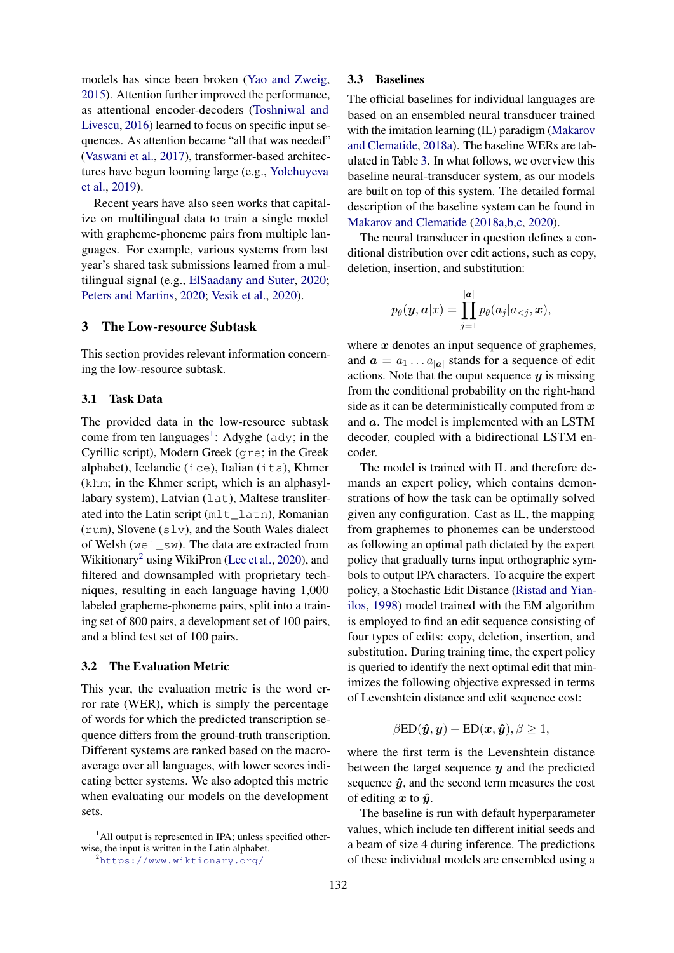models has since been broken [\(Yao and Zweig,](#page-9-0) [2015\)](#page-9-0). Attention further improved the performance, as attentional encoder-decoders [\(Toshniwal and](#page-8-7) [Livescu,](#page-8-7) [2016\)](#page-8-7) learned to focus on specific input sequences. As attention became "all that was needed" [\(Vaswani et al.,](#page-8-8) [2017\)](#page-8-8), transformer-based architectures have begun looming large (e.g., [Yolchuyeva](#page-9-1) [et al.,](#page-9-1) [2019\)](#page-9-1).

Recent years have also seen works that capitalize on multilingual data to train a single model with grapheme-phoneme pairs from multiple languages. For example, various systems from last year's shared task submissions learned from a multilingual signal (e.g., [ElSaadany and Suter,](#page-8-9) [2020;](#page-8-9) [Peters and Martins,](#page-8-10) [2020;](#page-8-10) [Vesik et al.,](#page-8-11) [2020\)](#page-8-11).

### <span id="page-1-1"></span>3 The Low-resource Subtask

This section provides relevant information concerning the low-resource subtask.

#### <span id="page-1-0"></span>3.1 Task Data

The provided data in the low-resource subtask come from ten languages<sup>[1](#page-1-2)</sup>: Adyghe ( $\text{ady}$ ; in the Cyrillic script), Modern Greek (gre; in the Greek alphabet), Icelandic (ice), Italian (ita), Khmer (khm; in the Khmer script, which is an alphasyllabary system), Latvian (lat), Maltese transliterated into the Latin script (mlt\_latn), Romanian (rum), Slovene (slv), and the South Wales dialect of Welsh (wel  $\mathbb{S}^{w}$ ). The data are extracted from Wikitionary<sup>[2](#page-1-3)</sup> using WikiPron [\(Lee et al.,](#page-8-12) [2020\)](#page-8-12), and filtered and downsampled with proprietary techniques, resulting in each language having 1,000 labeled grapheme-phoneme pairs, split into a training set of 800 pairs, a development set of 100 pairs, and a blind test set of 100 pairs.

### 3.2 The Evaluation Metric

This year, the evaluation metric is the word error rate (WER), which is simply the percentage of words for which the predicted transcription sequence differs from the ground-truth transcription. Different systems are ranked based on the macroaverage over all languages, with lower scores indicating better systems. We also adopted this metric when evaluating our models on the development sets.

#### 3.3 Baselines

The official baselines for individual languages are based on an ensembled neural transducer trained with the imitation learning (IL) paradigm [\(Makarov](#page-8-13) [and Clematide,](#page-8-13) [2018a\)](#page-8-13). The baseline WERs are tabulated in Table [3.](#page-4-1) In what follows, we overview this baseline neural-transducer system, as our models are built on top of this system. The detailed formal description of the baseline system can be found in [Makarov and Clematide](#page-8-13) [\(2018a,](#page-8-13)[b](#page-8-14)[,c,](#page-8-15) [2020\)](#page-8-16).

The neural transducer in question defines a conditional distribution over edit actions, such as copy, deletion, insertion, and substitution:

$$
p_{\theta}(\boldsymbol{y}, \boldsymbol{a}|x) = \prod_{j=1}^{|\boldsymbol{a}|} p_{\theta}(a_j|a_{
$$

where  $x$  denotes an input sequence of graphemes, and  $\mathbf{a} = a_1 \dots a_{|\mathbf{a}|}$  stands for a sequence of edit actions. Note that the ouput sequence  $y$  is missing from the conditional probability on the right-hand side as it can be deterministically computed from  $x$ and a. The model is implemented with an LSTM decoder, coupled with a bidirectional LSTM encoder.

The model is trained with IL and therefore demands an expert policy, which contains demonstrations of how the task can be optimally solved given any configuration. Cast as IL, the mapping from graphemes to phonemes can be understood as following an optimal path dictated by the expert policy that gradually turns input orthographic symbols to output IPA characters. To acquire the expert policy, a Stochastic Edit Distance [\(Ristad and Yian](#page-8-17)[ilos,](#page-8-17) [1998\)](#page-8-17) model trained with the EM algorithm is employed to find an edit sequence consisting of four types of edits: copy, deletion, insertion, and substitution. During training time, the expert policy is queried to identify the next optimal edit that minimizes the following objective expressed in terms of Levenshtein distance and edit sequence cost:

$$
\beta \text{ED}(\hat{\boldsymbol{y}}, \boldsymbol{y}) + \text{ED}(\boldsymbol{x}, \hat{\boldsymbol{y}}), \beta \ge 1,
$$

where the first term is the Levenshtein distance between the target sequence  $y$  and the predicted sequence  $\hat{y}$ , and the second term measures the cost of editing x to  $\hat{y}$ .

The baseline is run with default hyperparameter values, which include ten different initial seeds and a beam of size 4 during inference. The predictions of these individual models are ensembled using a

<span id="page-1-2"></span> $<sup>1</sup>$ All output is represented in IPA; unless specified other-</sup> wise, the input is written in the Latin alphabet.

<span id="page-1-3"></span><sup>2</sup><https://www.wiktionary.org/>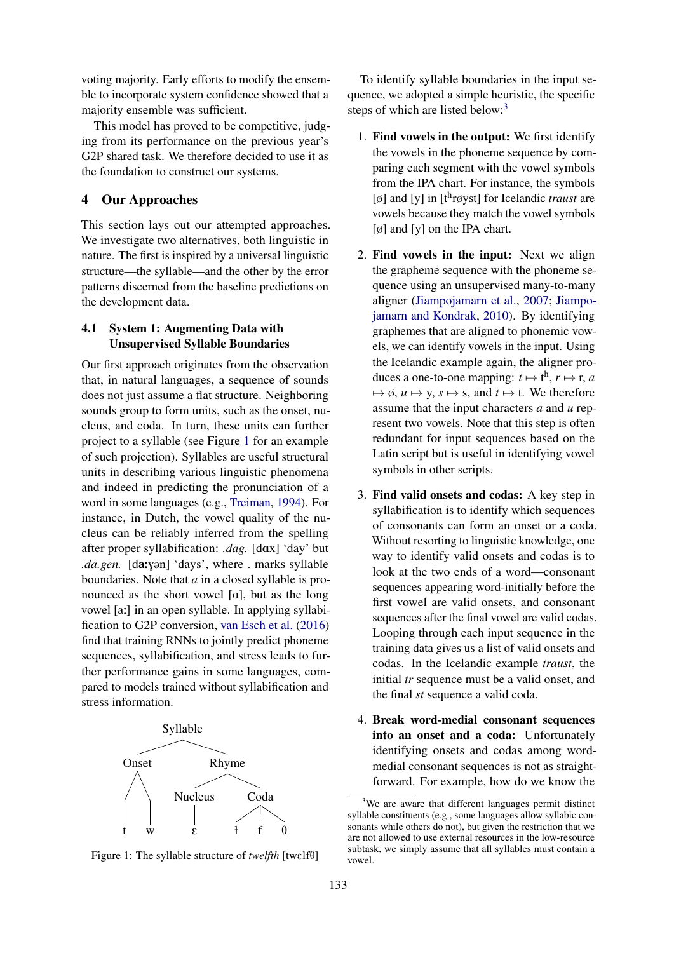voting majority. Early efforts to modify the ensemble to incorporate system confidence showed that a majority ensemble was sufficient.

This model has proved to be competitive, judging from its performance on the previous year's G2P shared task. We therefore decided to use it as the foundation to construct our systems.

# <span id="page-2-0"></span>4 Our Approaches

This section lays out our attempted approaches. We investigate two alternatives, both linguistic in nature. The first is inspired by a universal linguistic structure—the syllable—and the other by the error patterns discerned from the baseline predictions on the development data.

# 4.1 System 1: Augmenting Data with Unsupervised Syllable Boundaries

Our first approach originates from the observation that, in natural languages, a sequence of sounds does not just assume a flat structure. Neighboring sounds group to form units, such as the onset, nucleus, and coda. In turn, these units can further project to a syllable (see Figure [1](#page-2-1) for an example of such projection). Syllables are useful structural units in describing various linguistic phenomena and indeed in predicting the pronunciation of a word in some languages (e.g., [Treiman,](#page-8-18) [1994\)](#page-8-18). For instance, in Dutch, the vowel quality of the nucleus can be reliably inferred from the spelling after proper syllabification: *.dag.* [dax] 'day' but *.da.gen.* [da:yon] 'days', where . marks syllable boundaries. Note that *a* in a closed syllable is pronounced as the short vowel  $[a]$ , but as the long vowel [a:] in an open syllable. In applying syllabification to G2P conversion, [van Esch et al.](#page-8-19) [\(2016\)](#page-8-19) find that training RNNs to jointly predict phoneme sequences, syllabification, and stress leads to further performance gains in some languages, compared to models trained without syllabification and stress information.

<span id="page-2-1"></span>

Figure 1: The syllable structure of *twelfth* [twelf $\theta$ ]

To identify syllable boundaries in the input sequence, we adopted a simple heuristic, the specific steps of which are listed below:<sup>[3](#page-2-2)</sup>

- 1. Find vowels in the output: We first identify the vowels in the phoneme sequence by comparing each segment with the vowel symbols from the IPA chart. For instance, the symbols [ø] and [y] in [t<sup>h</sup>røyst] for Icelandic *traust* are vowels because they match the vowel symbols [ø] and [y] on the IPA chart.
- 2. Find vowels in the input: Next we align the grapheme sequence with the phoneme sequence using an unsupervised many-to-many aligner [\(Jiampojamarn et al.,](#page-8-1) [2007;](#page-8-1) [Jiampo](#page-8-3)[jamarn and Kondrak,](#page-8-3) [2010\)](#page-8-3). By identifying graphemes that are aligned to phonemic vowels, we can identify vowels in the input. Using the Icelandic example again, the aligner produces a one-to-one mapping:  $t \mapsto t^h$ ,  $r \mapsto r$ , *a*  $\mapsto \emptyset$ ,  $u \mapsto y$ ,  $s \mapsto s$ , and  $t \mapsto t$ . We therefore assume that the input characters *a* and *u* represent two vowels. Note that this step is often redundant for input sequences based on the Latin script but is useful in identifying vowel symbols in other scripts.
- 3. Find valid onsets and codas: A key step in syllabification is to identify which sequences of consonants can form an onset or a coda. Without resorting to linguistic knowledge, one way to identify valid onsets and codas is to look at the two ends of a word—consonant sequences appearing word-initially before the first vowel are valid onsets, and consonant sequences after the final vowel are valid codas. Looping through each input sequence in the training data gives us a list of valid onsets and codas. In the Icelandic example *traust*, the initial *tr* sequence must be a valid onset, and the final *st* sequence a valid coda.
- 4. Break word-medial consonant sequences into an onset and a coda: Unfortunately identifying onsets and codas among wordmedial consonant sequences is not as straightforward. For example, how do we know the

<span id="page-2-2"></span><sup>&</sup>lt;sup>3</sup>We are aware that different languages permit distinct syllable constituents (e.g., some languages allow syllabic consonants while others do not), but given the restriction that we are not allowed to use external resources in the low-resource subtask, we simply assume that all syllables must contain a vowel.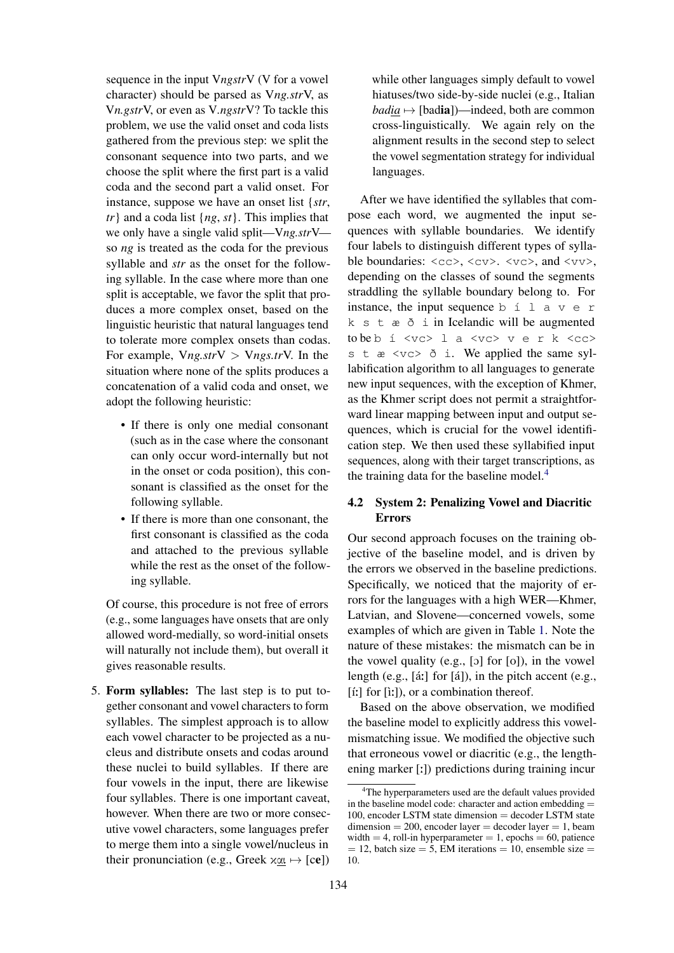sequence in the input V*ngstr*V (V for a vowel character) should be parsed as V*ng.str*V, as V*n.gstr*V, or even as V*.ngstr*V? To tackle this problem, we use the valid onset and coda lists gathered from the previous step: we split the consonant sequence into two parts, and we choose the split where the first part is a valid coda and the second part a valid onset. For instance, suppose we have an onset list {*str*, *tr*} and a coda list {*ng*, *st*}. This implies that we only have a single valid split—V*ng.str*V so *ng* is treated as the coda for the previous syllable and *str* as the onset for the following syllable. In the case where more than one split is acceptable, we favor the split that produces a more complex onset, based on the linguistic heuristic that natural languages tend to tolerate more complex onsets than codas. For example, V*ng.str*V > V*ngs.tr*V. In the situation where none of the splits produces a concatenation of a valid coda and onset, we adopt the following heuristic:

- If there is only one medial consonant (such as in the case where the consonant can only occur word-internally but not in the onset or coda position), this consonant is classified as the onset for the following syllable.
- If there is more than one consonant, the first consonant is classified as the coda and attached to the previous syllable while the rest as the onset of the following syllable.

Of course, this procedure is not free of errors (e.g., some languages have onsets that are only allowed word-medially, so word-initial onsets will naturally not include them), but overall it gives reasonable results.

5. Form syllables: The last step is to put together consonant and vowel characters to form syllables. The simplest approach is to allow each vowel character to be projected as a nucleus and distribute onsets and codas around these nuclei to build syllables. If there are four vowels in the input, there are likewise four syllables. There is one important caveat, however. When there are two or more consecutive vowel characters, some languages prefer to merge them into a single vowel/nucleus in their pronunciation (e.g., Greek  $x\alpha \mapsto [ce]$ )

while other languages simply default to vowel hiatuses/two side-by-side nuclei (e.g., Italian  $badia \mapsto [badia]$ )—indeed, both are common cross-linguistically. We again rely on the alignment results in the second step to select the vowel segmentation strategy for individual languages.

After we have identified the syllables that compose each word, we augmented the input sequences with syllable boundaries. We identify four labels to distinguish different types of syllable boundaries:  $\langle cc \rangle$ ,  $\langle cv \rangle$ ,  $\langle vc \rangle$ , and  $\langle vv \rangle$ , depending on the classes of sound the segments straddling the syllable boundary belong to. For instance, the input sequence b  $\leq 1$  a v e r k s t æ ð i in Icelandic will be augmented to be b í <vc> l a <vc> v e r k <cc> s t  $\alpha \leq v \leq \delta$  i. We applied the same syllabification algorithm to all languages to generate new input sequences, with the exception of Khmer, as the Khmer script does not permit a straightforward linear mapping between input and output sequences, which is crucial for the vowel identification step. We then used these syllabified input sequences, along with their target transcriptions, as the training data for the baseline model. $4$ 

# 4.2 System 2: Penalizing Vowel and Diacritic Errors

Our second approach focuses on the training objective of the baseline model, and is driven by the errors we observed in the baseline predictions. Specifically, we noticed that the majority of errors for the languages with a high WER—Khmer, Latvian, and Slovene—concerned vowels, some examples of which are given in Table [1.](#page-4-2) Note the nature of these mistakes: the mismatch can be in the vowel quality (e.g.,  $[\circ]$  for  $[\circ]$ ), in the vowel length (e.g.,  $[\hat{a}$ :] for  $[\hat{a}]$ ), in the pitch accent (e.g.,  $[i!]$  for  $[i!]$ ), or a combination thereof.

Based on the above observation, we modified the baseline model to explicitly address this vowelmismatching issue. We modified the objective such that erroneous vowel or diacritic (e.g., the lengthening marker [:]) predictions during training incur

<span id="page-3-0"></span><sup>&</sup>lt;sup>4</sup>The hyperparameters used are the default values provided in the baseline model code: character and action embedding  $=$ 100, encoder LSTM state dimension = decoder LSTM state  $dimension = 200$ , encoder layer = decoder layer = 1, beam width  $= 4$ , roll-in hyperparameter  $= 1$ , epochs  $= 60$ , patience  $= 12$ , batch size  $= 5$ , EM iterations  $= 10$ , ensemble size  $=$ 10.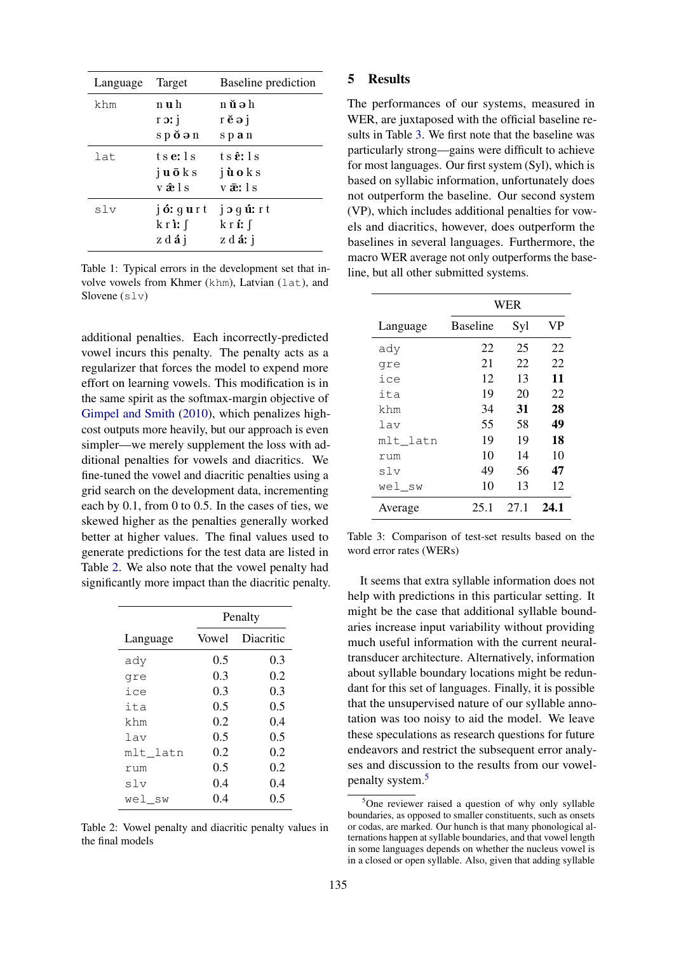<span id="page-4-2"></span>

| Language | Target                                                                | <b>Baseline</b> prediction                                       |
|----------|-----------------------------------------------------------------------|------------------------------------------------------------------|
| khm      | n u h<br>$i$ ic $r$<br>$s p \, \breve{\mathbf{o}} \, \mathbf{a} \, n$ | n ŭəh<br>$\vec{r}$ e $\vec{e}$ j<br>span                         |
| lat      | tse:1s<br>$j$ <b>u</b> $\bar{o}$ <b>k</b> s<br>vâls                   | ts <b>ê</b> : Is<br>jùoks<br>værls                               |
| slv      | jó: gurt<br>$k$ r i: $\int$<br>zdáj                                   | $j$ $\sigma$ $q$ $\hat{u}$ : $r$ $t$<br>kr <b>í</b> : f<br>zdárj |

Table 1: Typical errors in the development set that involve vowels from Khmer (khm), Latvian (lat), and Slovene  $(s \, \text{lv})$ 

additional penalties. Each incorrectly-predicted vowel incurs this penalty. The penalty acts as a regularizer that forces the model to expend more effort on learning vowels. This modification is in the same spirit as the softmax-margin objective of [Gimpel and Smith](#page-8-20) [\(2010\)](#page-8-20), which penalizes highcost outputs more heavily, but our approach is even simpler—we merely supplement the loss with additional penalties for vowels and diacritics. We fine-tuned the vowel and diacritic penalties using a grid search on the development data, incrementing each by 0.1, from 0 to 0.5. In the cases of ties, we skewed higher as the penalties generally worked better at higher values. The final values used to generate predictions for the test data are listed in Table [2.](#page-4-3) We also note that the vowel penalty had significantly more impact than the diacritic penalty.

<span id="page-4-3"></span>

|          | Penalty |                 |  |
|----------|---------|-----------------|--|
| Language |         | Vowel Diacritic |  |
| ady      | 0.5     | 0.3             |  |
| qre      | 0.3     | 0.2             |  |
| ice      | 0.3     | 0.3             |  |
| ita      | 0.5     | 0.5             |  |
| khm      | 0.2     | 0.4             |  |
| lav      | 0.5     | 0.5             |  |
| mlt_latn | 0.2     | 0.2             |  |
| rum      | 0.5     | 0.2             |  |
| slv      | 0.4     | 0.4             |  |
| wel sw   | 0.4     | 0.5             |  |

Table 2: Vowel penalty and diacritic penalty values in the final models

### <span id="page-4-0"></span>5 Results

The performances of our systems, measured in WER, are juxtaposed with the official baseline results in Table [3.](#page-4-1) We first note that the baseline was particularly strong—gains were difficult to achieve for most languages. Our first system (Syl), which is based on syllabic information, unfortunately does not outperform the baseline. Our second system (VP), which includes additional penalties for vowels and diacritics, however, does outperform the baselines in several languages. Furthermore, the macro WER average not only outperforms the baseline, but all other submitted systems.

<span id="page-4-1"></span>

|          | WER             |      |      |  |
|----------|-----------------|------|------|--|
| Language | <b>Baseline</b> | Syl  | VP   |  |
| ady      | 22              | 25   | 22   |  |
| qre      | 21              | 22   | 22   |  |
| ice      | 12              | 13   | 11   |  |
| ita      | 19              | 20   | 22   |  |
| khm      | 34              | 31   | 28   |  |
| lav      | 55              | 58   | 49   |  |
| mlt_latn | 19              | 19   | 18   |  |
| rum      | 10              | 14   | 10   |  |
| slv      | 49              | 56   | 47   |  |
| wel sw   | 10              | 13   | 12   |  |
| Average  | 25.1            | 27.1 | 24.1 |  |

Table 3: Comparison of test-set results based on the word error rates (WERs)

It seems that extra syllable information does not help with predictions in this particular setting. It might be the case that additional syllable boundaries increase input variability without providing much useful information with the current neuraltransducer architecture. Alternatively, information about syllable boundary locations might be redundant for this set of languages. Finally, it is possible that the unsupervised nature of our syllable annotation was too noisy to aid the model. We leave these speculations as research questions for future endeavors and restrict the subsequent error analyses and discussion to the results from our vowelpenalty system.[5](#page-4-4)

<span id="page-4-4"></span> $5$ One reviewer raised a question of why only syllable boundaries, as opposed to smaller constituents, such as onsets or codas, are marked. Our hunch is that many phonological alternations happen at syllable boundaries, and that vowel length in some languages depends on whether the nucleus vowel is in a closed or open syllable. Also, given that adding syllable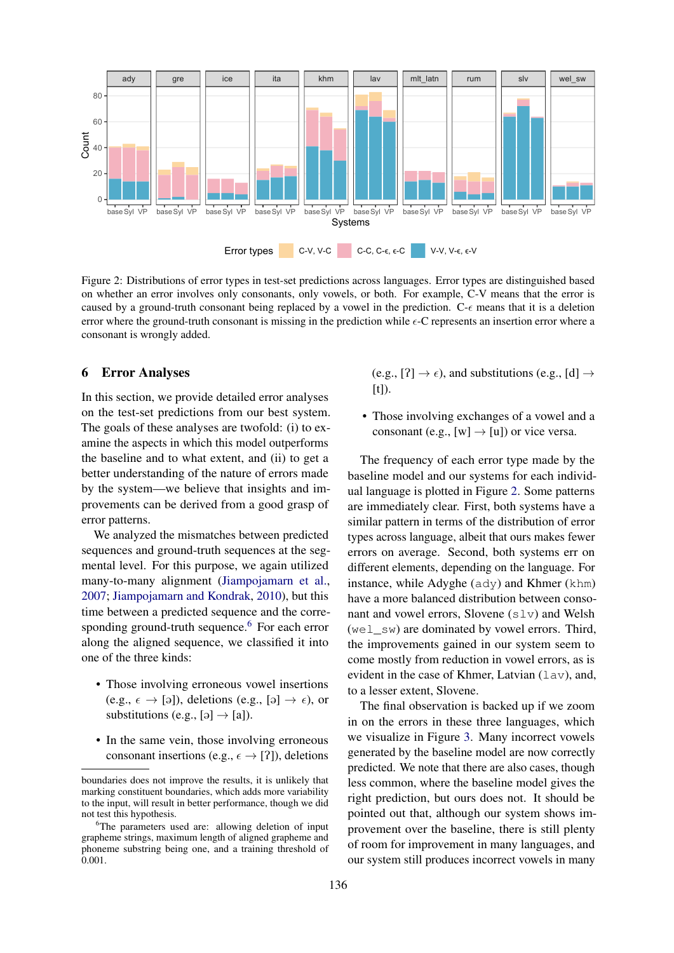<span id="page-5-2"></span>

Figure 2: Distributions of error types in test-set predictions across languages. Error types are distinguished based on whether an error involves only consonants, only vowels, or both. For example, C-V means that the error is caused by a ground-truth consonant being replaced by a vowel in the prediction. C- $\epsilon$  means that it is a deletion error where the ground-truth consonant is missing in the prediction while  $\epsilon$ -C represents an insertion error where a consonant is wrongly added.

### <span id="page-5-0"></span>6 Error Analyses

In this section, we provide detailed error analyses on the test-set predictions from our best system. The goals of these analyses are twofold: (i) to examine the aspects in which this model outperforms the baseline and to what extent, and (ii) to get a better understanding of the nature of errors made by the system—we believe that insights and improvements can be derived from a good grasp of error patterns.

We analyzed the mismatches between predicted sequences and ground-truth sequences at the segmental level. For this purpose, we again utilized many-to-many alignment [\(Jiampojamarn et al.,](#page-8-1) [2007;](#page-8-1) [Jiampojamarn and Kondrak,](#page-8-3) [2010\)](#page-8-3), but this time between a predicted sequence and the corre-sponding ground-truth sequence.<sup>[6](#page-5-1)</sup> For each error along the aligned sequence, we classified it into one of the three kinds:

- Those involving erroneous vowel insertions (e.g.,  $\epsilon \rightarrow$  [ə]), deletions (e.g., [ə]  $\rightarrow \epsilon$ ), or substitutions (e.g.,  $[\circ] \rightarrow [\alpha]$ ).
- In the same vein, those involving erroneous consonant insertions (e.g.,  $\epsilon \rightarrow [?]$ ), deletions

(e.g.,  $[?] \rightarrow \epsilon$ ), and substitutions (e.g.,  $[d] \rightarrow$ [t]).

• Those involving exchanges of a vowel and a consonant (e.g., [w]  $\rightarrow$  [u]) or vice versa.

The frequency of each error type made by the baseline model and our systems for each individual language is plotted in Figure [2.](#page-5-2) Some patterns are immediately clear. First, both systems have a similar pattern in terms of the distribution of error types across language, albeit that ours makes fewer errors on average. Second, both systems err on different elements, depending on the language. For instance, while Adyghe (ady) and Khmer (khm) have a more balanced distribution between consonant and vowel errors, Slovene  $(s\bot v)$  and Welsh  $(we1 \text{ sw})$  are dominated by vowel errors. Third, the improvements gained in our system seem to come mostly from reduction in vowel errors, as is evident in the case of Khmer, Latvian (lav), and, to a lesser extent, Slovene.

The final observation is backed up if we zoom in on the errors in these three languages, which we visualize in Figure [3.](#page-6-1) Many incorrect vowels generated by the baseline model are now correctly predicted. We note that there are also cases, though less common, where the baseline model gives the right prediction, but ours does not. It should be pointed out that, although our system shows improvement over the baseline, there is still plenty of room for improvement in many languages, and our system still produces incorrect vowels in many

boundaries does not improve the results, it is unlikely that marking constituent boundaries, which adds more variability to the input, will result in better performance, though we did not test this hypothesis.

<span id="page-5-1"></span><sup>&</sup>lt;sup>6</sup>The parameters used are: allowing deletion of input grapheme strings, maximum length of aligned grapheme and phoneme substring being one, and a training threshold of 0.001.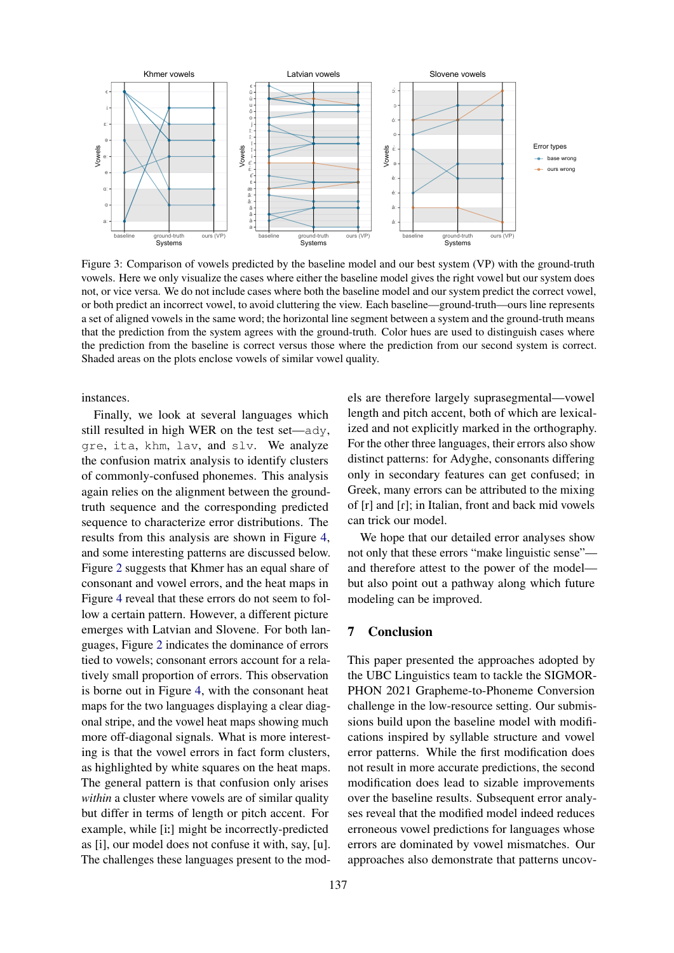<span id="page-6-1"></span>

Figure 3: Comparison of vowels predicted by the baseline model and our best system (VP) with the ground-truth vowels. Here we only visualize the cases where either the baseline model gives the right vowel but our system does not, or vice versa. We do not include cases where both the baseline model and our system predict the correct vowel, or both predict an incorrect vowel, to avoid cluttering the view. Each baseline—ground-truth—ours line represents a set of aligned vowels in the same word; the horizontal line segment between a system and the ground-truth means that the prediction from the system agrees with the ground-truth. Color hues are used to distinguish cases where the prediction from the baseline is correct versus those where the prediction from our second system is correct. Shaded areas on the plots enclose vowels of similar vowel quality.

instances.

Finally, we look at several languages which still resulted in high WER on the test set—ady, gre, ita, khm, lav, and slv. We analyze the confusion matrix analysis to identify clusters of commonly-confused phonemes. This analysis again relies on the alignment between the groundtruth sequence and the corresponding predicted sequence to characterize error distributions. The results from this analysis are shown in Figure [4,](#page-7-0) and some interesting patterns are discussed below. Figure [2](#page-5-2) suggests that Khmer has an equal share of consonant and vowel errors, and the heat maps in Figure [4](#page-7-0) reveal that these errors do not seem to follow a certain pattern. However, a different picture emerges with Latvian and Slovene. For both languages, Figure [2](#page-5-2) indicates the dominance of errors tied to vowels; consonant errors account for a relatively small proportion of errors. This observation is borne out in Figure [4,](#page-7-0) with the consonant heat maps for the two languages displaying a clear diagonal stripe, and the vowel heat maps showing much more off-diagonal signals. What is more interesting is that the vowel errors in fact form clusters, as highlighted by white squares on the heat maps. The general pattern is that confusion only arises *within* a cluster where vowels are of similar quality but differ in terms of length or pitch accent. For example, while [i:] might be incorrectly-predicted as [i], our model does not confuse it with, say, [u]. The challenges these languages present to the models are therefore largely suprasegmental—vowel length and pitch accent, both of which are lexicalized and not explicitly marked in the orthography. For the other three languages, their errors also show distinct patterns: for Adyghe, consonants differing only in secondary features can get confused; in Greek, many errors can be attributed to the mixing of  $[r]$  and  $[r]$ ; in Italian, front and back mid vowels can trick our model.

We hope that our detailed error analyses show not only that these errors "make linguistic sense" and therefore attest to the power of the model but also point out a pathway along which future modeling can be improved.

### <span id="page-6-0"></span>7 Conclusion

This paper presented the approaches adopted by the UBC Linguistics team to tackle the SIGMOR-PHON 2021 Grapheme-to-Phoneme Conversion challenge in the low-resource setting. Our submissions build upon the baseline model with modifications inspired by syllable structure and vowel error patterns. While the first modification does not result in more accurate predictions, the second modification does lead to sizable improvements over the baseline results. Subsequent error analyses reveal that the modified model indeed reduces erroneous vowel predictions for languages whose errors are dominated by vowel mismatches. Our approaches also demonstrate that patterns uncov-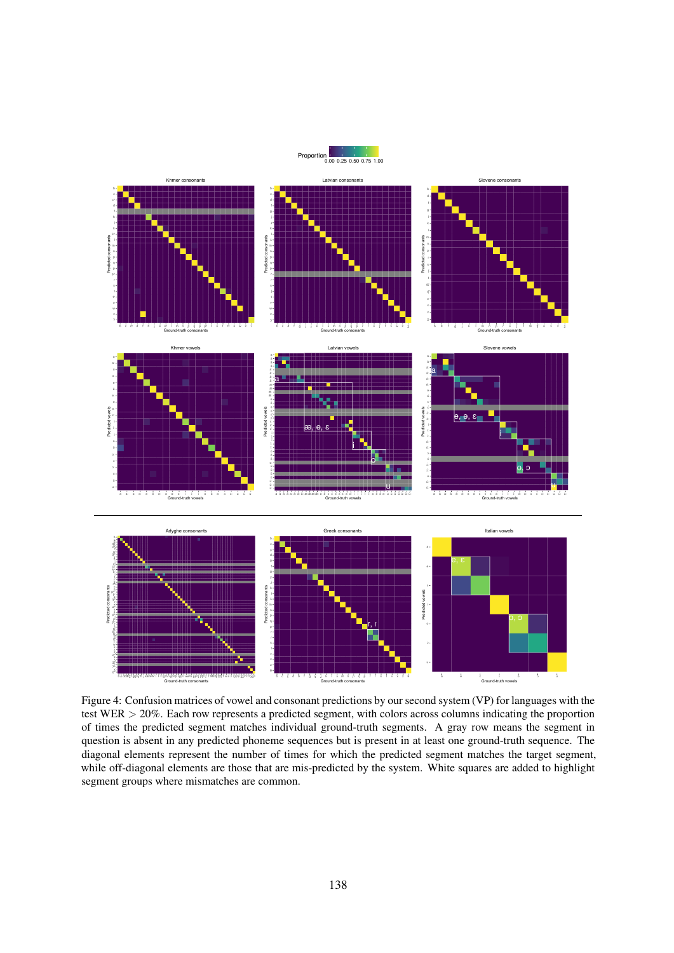

<span id="page-7-0"></span>

Figure 4: Confusion matrices of vowel and consonant predictions by our second system (VP) for languages with the test WER > 20%. Each row represents a predicted segment, with colors across columns indicating the proportion of times the predicted segment matches individual ground-truth segments. A gray row means the segment in question is absent in any predicted phoneme sequences but is present in at least one ground-truth sequence. The diagonal elements represent the number of times for which the predicted segment matches the target segment, while off-diagonal elements are those that are mis-predicted by the system. White squares are added to highlight segment groups where mismatches are common.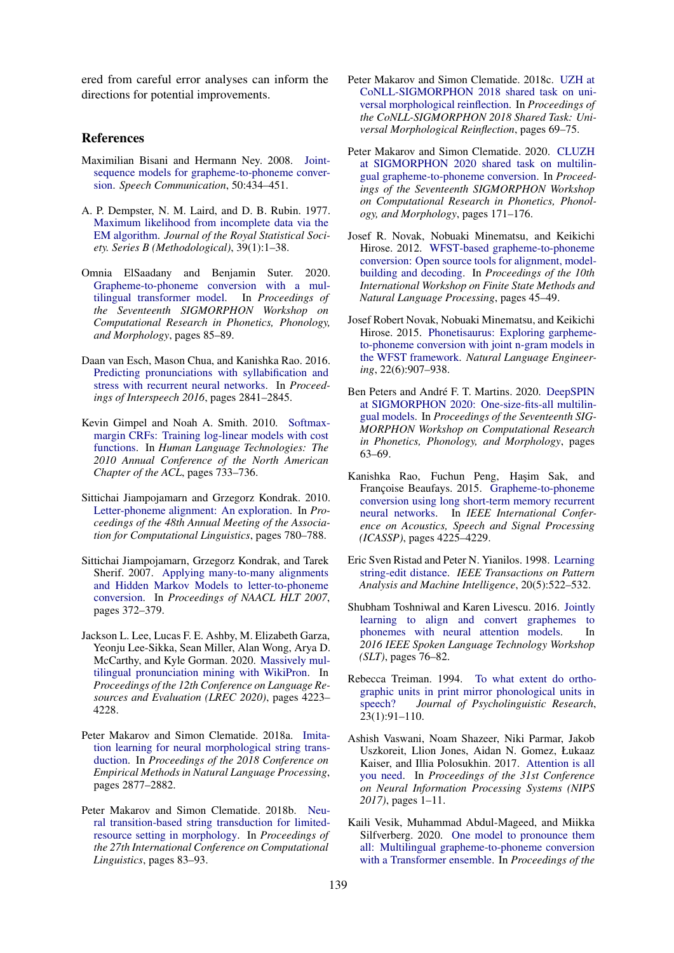ered from careful error analyses can inform the directions for potential improvements.

#### References

- <span id="page-8-2"></span>Maximilian Bisani and Hermann Ney. 2008. [Joint](https://doi.org/10.1016/j.specom.2008.01.002)[sequence models for grapheme-to-phoneme conver](https://doi.org/10.1016/j.specom.2008.01.002)[sion.](https://doi.org/10.1016/j.specom.2008.01.002) *Speech Communication*, 50:434–451.
- <span id="page-8-0"></span>A. P. Dempster, N. M. Laird, and D. B. Rubin. 1977. [Maximum likelihood from incomplete data via the](http://www.jstor.org/stable/2984875) [EM algorithm.](http://www.jstor.org/stable/2984875) *Journal of the Royal Statistical Society. Series B (Methodological)*, 39(1):1–38.
- <span id="page-8-9"></span>Omnia ElSaadany and Benjamin Suter. 2020. [Grapheme-to-phoneme conversion with a mul](https://doi.org/10.18653/v1/2020.sigmorphon-1.7)[tilingual transformer model.](https://doi.org/10.18653/v1/2020.sigmorphon-1.7) In *Proceedings of the Seventeenth SIGMORPHON Workshop on Computational Research in Phonetics, Phonology, and Morphology*, pages 85–89.
- <span id="page-8-19"></span>Daan van Esch, Mason Chua, and Kanishka Rao. 2016. [Predicting pronunciations with syllabification and](https://doi.org/10.21437/Interspeech.2016-1419) [stress with recurrent neural networks.](https://doi.org/10.21437/Interspeech.2016-1419) In *Proceedings of Interspeech 2016*, pages 2841–2845.
- <span id="page-8-20"></span>Kevin Gimpel and Noah A. Smith. 2010. [Softmax](https://www.aclweb.org/anthology/N10-1112)[margin CRFs: Training log-linear models with cost](https://www.aclweb.org/anthology/N10-1112) [functions.](https://www.aclweb.org/anthology/N10-1112) In *Human Language Technologies: The 2010 Annual Conference of the North American Chapter of the ACL*, pages 733–736.
- <span id="page-8-3"></span>Sittichai Jiampojamarn and Grzegorz Kondrak. 2010. [Letter-phoneme alignment: An exploration.](https://www.aclweb.org/anthology/P10-1080) In *Proceedings of the 48th Annual Meeting of the Association for Computational Linguistics*, pages 780–788.
- <span id="page-8-1"></span>Sittichai Jiampojamarn, Grzegorz Kondrak, and Tarek Sherif. 2007. [Applying many-to-many alignments](https://www.aclweb.org/anthology/N07-1047) [and Hidden Markov Models to letter-to-phoneme](https://www.aclweb.org/anthology/N07-1047) [conversion.](https://www.aclweb.org/anthology/N07-1047) In *Proceedings of NAACL HLT 2007*, pages 372–379.
- <span id="page-8-12"></span>Jackson L. Lee, Lucas F. E. Ashby, M. Elizabeth Garza, Yeonju Lee-Sikka, Sean Miller, Alan Wong, Arya D. McCarthy, and Kyle Gorman. 2020. [Massively mul](https://www.aclweb.org/anthology/2020.lrec-1.521)[tilingual pronunciation mining with WikiPron.](https://www.aclweb.org/anthology/2020.lrec-1.521) In *Proceedings of the 12th Conference on Language Resources and Evaluation (LREC 2020)*, pages 4223– 4228.
- <span id="page-8-13"></span>Peter Makarov and Simon Clematide. 2018a. [Imita](https://doi.org/10.18653/v1/D18-1314)[tion learning for neural morphological string trans](https://doi.org/10.18653/v1/D18-1314)[duction.](https://doi.org/10.18653/v1/D18-1314) In *Proceedings of the 2018 Conference on Empirical Methods in Natural Language Processing*, pages 2877–2882.
- <span id="page-8-14"></span>Peter Makarov and Simon Clematide. 2018b. [Neu](https://www.aclweb.org/anthology/C18-1008)[ral transition-based string transduction for limited](https://www.aclweb.org/anthology/C18-1008)[resource setting in morphology.](https://www.aclweb.org/anthology/C18-1008) In *Proceedings of the 27th International Conference on Computational Linguistics*, pages 83–93.
- <span id="page-8-15"></span>Peter Makarov and Simon Clematide. 2018c. [UZH at](https://doi.org/10.18653/v1/K18-3008) [CoNLL-SIGMORPHON 2018 shared task on uni](https://doi.org/10.18653/v1/K18-3008)[versal morphological reinflection.](https://doi.org/10.18653/v1/K18-3008) In *Proceedings of the CoNLL-SIGMORPHON 2018 Shared Task: Universal Morphological Reinflection*, pages 69–75.
- <span id="page-8-16"></span>Peter Makarov and Simon Clematide. 2020. [CLUZH](https://doi.org/10.18653/v1/2020.sigmorphon-1.19) [at SIGMORPHON 2020 shared task on multilin](https://doi.org/10.18653/v1/2020.sigmorphon-1.19)[gual grapheme-to-phoneme conversion.](https://doi.org/10.18653/v1/2020.sigmorphon-1.19) In *Proceedings of the Seventeenth SIGMORPHON Workshop on Computational Research in Phonetics, Phonology, and Morphology*, pages 171–176.
- <span id="page-8-4"></span>Josef R. Novak, Nobuaki Minematsu, and Keikichi Hirose. 2012. [WFST-based grapheme-to-phoneme](https://www.aclweb.org/anthology/W12-6208) [conversion: Open source tools for alignment, model](https://www.aclweb.org/anthology/W12-6208)[building and decoding.](https://www.aclweb.org/anthology/W12-6208) In *Proceedings of the 10th International Workshop on Finite State Methods and Natural Language Processing*, pages 45–49.
- <span id="page-8-5"></span>Josef Robert Novak, Nobuaki Minematsu, and Keikichi Hirose. 2015. [Phonetisaurus: Exploring garpheme](https://doi.org/10.1017/S1351324915000315)[to-phoneme conversion with joint n-gram models in](https://doi.org/10.1017/S1351324915000315) [the WFST framework.](https://doi.org/10.1017/S1351324915000315) *Natural Language Engineering*, 22(6):907–938.
- <span id="page-8-10"></span>Ben Peters and André F. T. Martins. 2020. [DeepSPIN](https://doi.org/10.18653/v1/2020.sigmorphon-1.4) [at SIGMORPHON 2020: One-size-fits-all multilin](https://doi.org/10.18653/v1/2020.sigmorphon-1.4)[gual models.](https://doi.org/10.18653/v1/2020.sigmorphon-1.4) In *Proceedings of the Seventeenth SIG-MORPHON Workshop on Computational Research in Phonetics, Phonology, and Morphology*, pages 63–69.
- <span id="page-8-6"></span>Kanishka Rao, Fuchun Peng, Haşim Sak, and Françoise Beaufays. 2015. [Grapheme-to-phoneme](https://doi.org/10.1109/ICASSP.2015.7178767) [conversion using long short-term memory recurrent](https://doi.org/10.1109/ICASSP.2015.7178767) [neural networks.](https://doi.org/10.1109/ICASSP.2015.7178767) In *IEEE International Conference on Acoustics, Speech and Signal Processing (ICASSP)*, pages 4225–4229.
- <span id="page-8-17"></span>Eric Sven Ristad and Peter N. Yianilos. 1998. [Learning](https://doi.org/10.1109/34.682181) [string-edit distance.](https://doi.org/10.1109/34.682181) *IEEE Transactions on Pattern Analysis and Machine Intelligence*, 20(5):522–532.
- <span id="page-8-7"></span>Shubham Toshniwal and Karen Livescu. 2016. [Jointly](https://doi.org/10.1109/SLT.2016.7846248) [learning to align and convert graphemes to](https://doi.org/10.1109/SLT.2016.7846248) [phonemes with neural attention models.](https://doi.org/10.1109/SLT.2016.7846248) In *2016 IEEE Spoken Language Technology Workshop (SLT)*, pages 76–82.
- <span id="page-8-18"></span>Rebecca Treiman. 1994. [To what extent do ortho](https://doi.org/10.1007/BF02143178)[graphic units in print mirror phonological units in](https://doi.org/10.1007/BF02143178) [speech?](https://doi.org/10.1007/BF02143178) *Journal of Psycholinguistic Research*, 23(1):91–110.
- <span id="page-8-8"></span>Ashish Vaswani, Noam Shazeer, Niki Parmar, Jakob Uszkoreit, Llion Jones, Aidan N. Gomez, Łukaaz Kaiser, and Illia Polosukhin. 2017. [Attention is all](https://proceedings.neurips.cc/paper/2017/file/3f5ee243547dee91fbd053c1c4a845aa-Paper.pdf) [you need.](https://proceedings.neurips.cc/paper/2017/file/3f5ee243547dee91fbd053c1c4a845aa-Paper.pdf) In *Proceedings of the 31st Conference on Neural Information Processing Systems (NIPS 2017)*, pages 1–11.
- <span id="page-8-11"></span>Kaili Vesik, Muhammad Abdul-Mageed, and Miikka Silfverberg. 2020. [One model to pronounce them](https://doi.org/10.18653/v1/2020.sigmorphon-1.16) [all: Multilingual grapheme-to-phoneme conversion](https://doi.org/10.18653/v1/2020.sigmorphon-1.16) [with a Transformer ensemble.](https://doi.org/10.18653/v1/2020.sigmorphon-1.16) In *Proceedings of the*